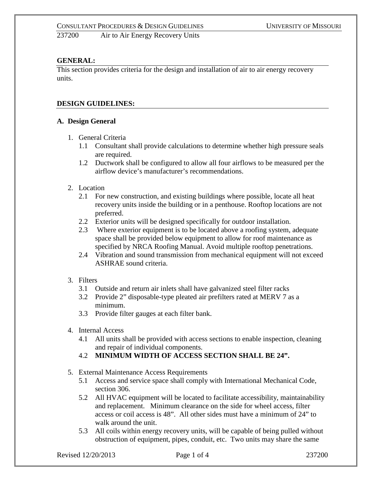237200 Air to Air Energy Recovery Units

# **GENERAL:**

This section provides criteria for the design and installation of air to air energy recovery units.

## **DESIGN GUIDELINES:**

#### **A. Design General**

- 1. General Criteria
	- 1.1 Consultant shall provide calculations to determine whether high pressure seals are required.
	- 1.2 Ductwork shall be configured to allow all four airflows to be measured per the airflow device's manufacturer's recommendations.
- 2. Location
	- 2.1 For new construction, and existing buildings where possible, locate all heat recovery units inside the building or in a penthouse. Rooftop locations are not preferred.
	- 2.2 Exterior units will be designed specifically for outdoor installation.
	- 2.3 Where exterior equipment is to be located above a roofing system, adequate space shall be provided below equipment to allow for roof maintenance as specified by NRCA Roofing Manual. Avoid multiple rooftop penetrations.
	- 2.4 Vibration and sound transmission from mechanical equipment will not exceed ASHRAE sound criteria.
- 3. Filters
	- 3.1 Outside and return air inlets shall have galvanized steel filter racks
	- 3.2 Provide 2" disposable-type pleated air prefilters rated at MERV 7 as a minimum.
	- 3.3 Provide filter gauges at each filter bank.
- 4. Internal Access
	- 4.1 All units shall be provided with access sections to enable inspection, cleaning and repair of individual components.
	- 4.2 **MINIMUM WIDTH OF ACCESS SECTION SHALL BE 24".**
- 5. External Maintenance Access Requirements
	- 5.1 Access and service space shall comply with International Mechanical Code, section 306.
	- 5.2 All HVAC equipment will be located to facilitate accessibility, maintainability and replacement. Minimum clearance on the side for wheel access, filter access or coil access is 48". All other sides must have a minimum of 24" to walk around the unit.
	- 5.3 All coils within energy recovery units, will be capable of being pulled without obstruction of equipment, pipes, conduit, etc. Two units may share the same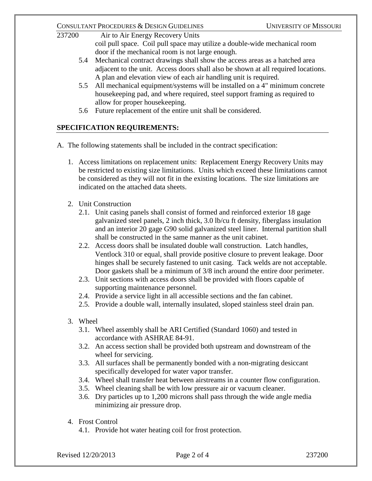#### CONSULTANT PROCEDURES & DESIGN GUIDELINES UNIVERSITY OF MISSOURI

- 237200 Air to Air Energy Recovery Units coil pull space. Coil pull space may utilize a double-wide mechanical room door if the mechanical room is not large enough. 5.4 Mechanical contract drawings shall show the access areas as a hatched area
	- adjacent to the unit. Access doors shall also be shown at all required locations. A plan and elevation view of each air handling unit is required.
	- 5.5 All mechanical equipment/systems will be installed on a 4" minimum concrete housekeeping pad, and where required, steel support framing as required to allow for proper housekeeping.
	- 5.6 Future replacement of the entire unit shall be considered.

# **SPECIFICATION REQUIREMENTS:**

- A. The following statements shall be included in the contract specification:
	- 1. Access limitations on replacement units: Replacement Energy Recovery Units may be restricted to existing size limitations. Units which exceed these limitations cannot be considered as they will not fit in the existing locations. The size limitations are indicated on the attached data sheets.
	- 2. Unit Construction
		- 2.1. Unit casing panels shall consist of formed and reinforced exterior 18 gage galvanized steel panels, 2 inch thick, 3.0 lb/cu ft density, fiberglass insulation and an interior 20 gage G90 solid galvanized steel liner. Internal partition shall shall be constructed in the same manner as the unit cabinet.
		- 2.2. Access doors shall be insulated double wall construction. Latch handles, Ventlock 310 or equal, shall provide positive closure to prevent leakage. Door hinges shall be securely fastened to unit casing. Tack welds are not acceptable. Door gaskets shall be a minimum of 3/8 inch around the entire door perimeter.
		- 2.3. Unit sections with access doors shall be provided with floors capable of supporting maintenance personnel.
		- 2.4. Provide a service light in all accessible sections and the fan cabinet.
		- 2.5. Provide a double wall, internally insulated, sloped stainless steel drain pan.
	- 3. Wheel
		- 3.1. Wheel assembly shall be ARI Certified (Standard 1060) and tested in accordance with ASHRAE 84-91.
		- 3.2. An access section shall be provided both upstream and downstream of the wheel for servicing.
		- 3.3. All surfaces shall be permanently bonded with a non-migrating desiccant specifically developed for water vapor transfer.
		- 3.4. Wheel shall transfer heat between airstreams in a counter flow configuration.
		- 3.5. Wheel cleaning shall be with low pressure air or vacuum cleaner.
		- 3.6. Dry particles up to 1,200 microns shall pass through the wide angle media minimizing air pressure drop.
	- 4. Frost Control
		- 4.1. Provide hot water heating coil for frost protection.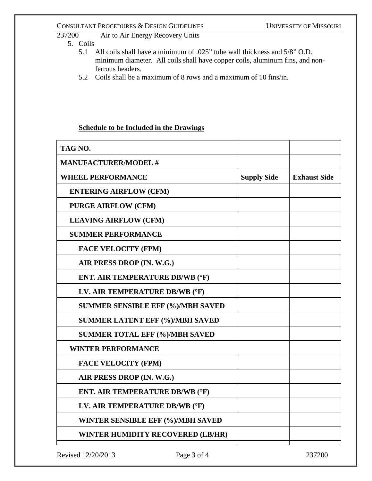### CONSULTANT PROCEDURES & DESIGN GUIDELINES<br>237200 Air to Air Energy Recovery Units Air to Air Energy Recovery Units

- 5. Coils
	- 5.1 All coils shall have a minimum of .025" tube wall thickness and 5/8" O.D. minimum diameter. All coils shall have copper coils, aluminum fins, and nonferrous headers.
	- 5.2 Coils shall be a maximum of 8 rows and a maximum of 10 fins/in.

## **Schedule to be Included in the Drawings**

| <b>Supply Side</b> | <b>Exhaust Side</b> |
|--------------------|---------------------|
|                    |                     |
|                    |                     |
|                    |                     |
|                    |                     |
|                    |                     |
|                    |                     |
|                    |                     |
|                    |                     |
|                    |                     |
|                    |                     |
|                    |                     |
|                    |                     |
|                    |                     |
|                    |                     |
|                    |                     |
|                    |                     |
|                    |                     |
|                    |                     |
|                    |                     |